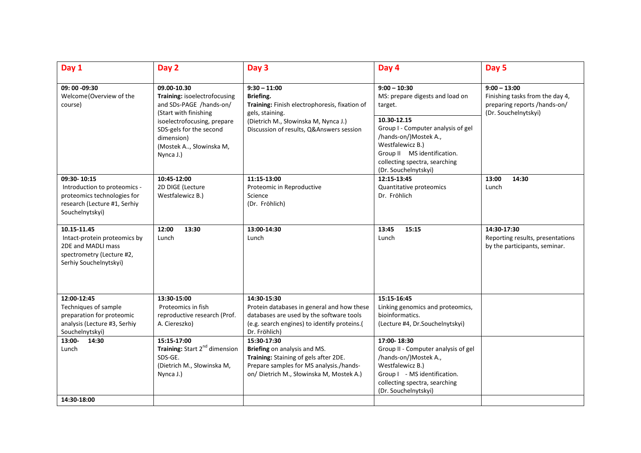| Day 1                                                                                                                         | Day 2                                                                                                                                                                                                           | Day 3                                                                                                                                                                               | Day 4                                                                                                                                                                                    | Day 5                                                                                                     |
|-------------------------------------------------------------------------------------------------------------------------------|-----------------------------------------------------------------------------------------------------------------------------------------------------------------------------------------------------------------|-------------------------------------------------------------------------------------------------------------------------------------------------------------------------------------|------------------------------------------------------------------------------------------------------------------------------------------------------------------------------------------|-----------------------------------------------------------------------------------------------------------|
| 09: 00 -09:30<br>Welcome (Overview of the<br>course)                                                                          | 09.00-10.30<br>Training: isoelectrofocusing<br>and SDs-PAGE /hands-on/<br>(Start with finishing<br>isoelectrofocusing, prepare<br>SDS-gels for the second<br>dimension)<br>(Mostek A, Słowinska M,<br>Nynca J.) | $9:30 - 11:00$<br>Briefing.<br>Training: Finish electrophoresis, fixation of<br>gels, staining.<br>(Dietrich M., Słowinska M, Nynca J.)<br>Discussion of results, Q&Answers session | $9:00 - 10:30$<br>MS: prepare digests and load on<br>target.                                                                                                                             | $9:00 - 13:00$<br>Finishing tasks from the day 4,<br>preparing reports /hands-on/<br>(Dr. Souchelnytskyi) |
|                                                                                                                               |                                                                                                                                                                                                                 |                                                                                                                                                                                     | 10.30-12.15<br>Group I - Computer analysis of gel<br>/hands-on/)Mostek A.,<br>Westfalewicz B.)<br>Group II MS identification.<br>collecting spectra, searching<br>(Dr. Souchelnytskyi)   |                                                                                                           |
| 09:30-10:15<br>Introduction to proteomics -<br>proteomics technologies for<br>research (Lecture #1, Serhiy<br>Souchelnytskyi) | 10:45-12:00<br>2D DIGE (Lecture<br>Westfalewicz B.)                                                                                                                                                             | 11:15-13:00<br>Proteomic in Reproductive<br>Science<br>(Dr. Fröhlich)                                                                                                               | 12:15-13:45<br>Quantitative proteomics<br>Dr. Fröhlich                                                                                                                                   | 13:00<br>14:30<br>Lunch                                                                                   |
| 10.15-11.45<br>Intact-protein proteomics by<br>2DE and MADLI mass<br>spectrometry (Lecture #2,<br>Serhiy Souchelnytskyi)      | 12:00<br>13:30<br>Lunch                                                                                                                                                                                         | 13:00-14:30<br>Lunch                                                                                                                                                                | 13:45<br>15:15<br>Lunch                                                                                                                                                                  | 14:30-17:30<br>Reporting results, presentations<br>by the participants, seminar.                          |
| 12:00-12:45<br>Techniques of sample<br>preparation for proteomic<br>analysis (Lecture #3, Serhiy<br>Souchelnytskyi)           | 13:30-15:00<br>Proteomics in fish<br>reproductive research (Prof.<br>A. Ciereszko)                                                                                                                              | 14:30-15:30<br>Protein databases in general and how these<br>databases are used by the software tools<br>(e.g. search engines) to identify proteins.(<br>Dr. Fröhlich)              | 15:15-16:45<br>Linking genomics and proteomics,<br>bioinformatics.<br>(Lecture #4, Dr.Souchelnytskyi)                                                                                    |                                                                                                           |
| $13:00 -$<br>14:30<br>Lunch<br>14:30-18:00                                                                                    | 15:15-17:00<br>Training: Start 2 <sup>nd</sup> dimension<br>SDS-GE.<br>(Dietrich M., Słowinska M,<br>Nynca J.)                                                                                                  | 15:30-17:30<br>Briefing on analysis and MS.<br>Training: Staining of gels after 2DE.<br>Prepare samples for MS analysis./hands-<br>on/ Dietrich M., Słowinska M, Mostek A.)         | 17:00-18:30<br>Group II - Computer analysis of gel<br>/hands-on/)Mostek A.,<br>Westfalewicz B.)<br>Group I - MS identification.<br>collecting spectra, searching<br>(Dr. Souchelnytskyi) |                                                                                                           |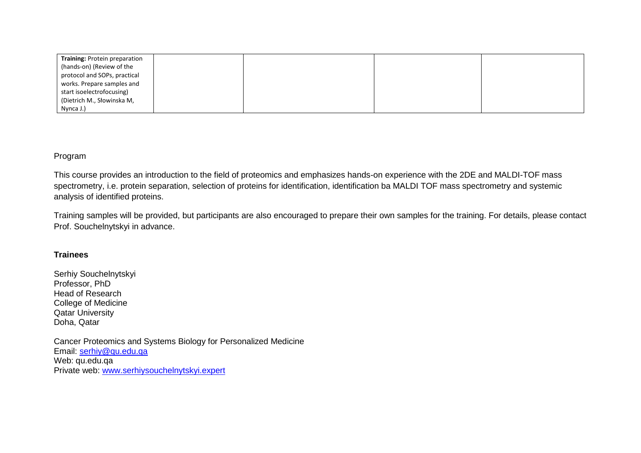| <b>Training: Protein preparation</b> |  |  |
|--------------------------------------|--|--|
| (hands-on) (Review of the            |  |  |
| protocol and SOPs, practical         |  |  |
| works. Prepare samples and           |  |  |
| start isoelectrofocusing)            |  |  |
| (Dietrich M., Słowinska M,           |  |  |
| Nynca J.)                            |  |  |

Program

This course provides an introduction to the field of proteomics and emphasizes hands-on experience with the 2DE and MALDI-TOF mass spectrometry, i.e. protein separation, selection of proteins for identification, identification ba MALDI TOF mass spectrometry and systemic analysis of identified proteins.

Training samples will be provided, but participants are also encouraged to prepare their own samples for the training. For details, please contact Prof. Souchelnytskyi in advance.

## **Trainees**

Serhiy Souchelnytskyi Professor, PhD Head of Research College of Medicine Qatar University Doha, Qatar

Cancer Proteomics and Systems Biology for Personalized Medicine Email: [serhiy@qu.edu.qa](mailto:serhiy@qu.edu.qa) Web: qu.edu.qa Private web: [www.serhiysouchelnytskyi.expert](http://www.serhiysouchelnytskyi.expert/)